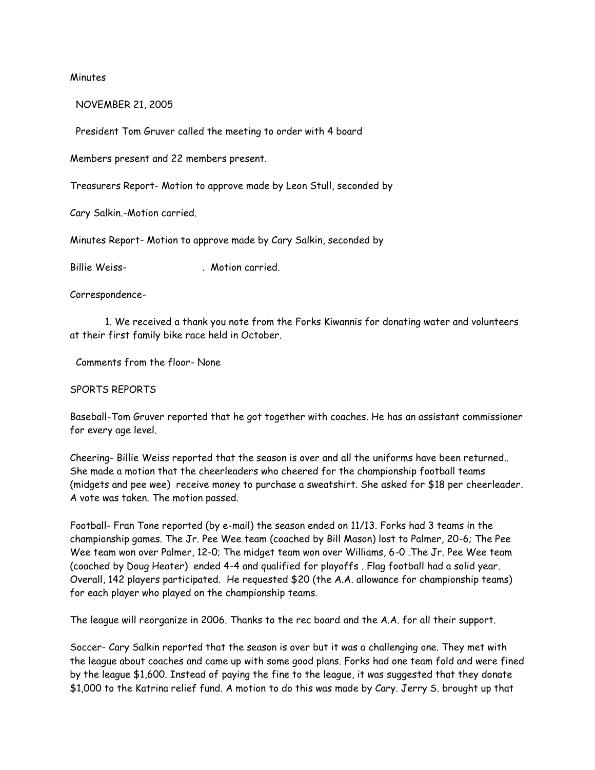# **Minutes**

NOVEMBER 21, 2005

President Tom Gruver called the meeting to order with 4 board

Members present and 22 members present.

Treasurers Report- Motion to approve made by Leon Stull, seconded by

Cary Salkin.-Motion carried.

Minutes Report- Motion to approve made by Cary Salkin, seconded by

Billie Weiss- . Motion carried.

Correspondence-

1. We received a thank you note from the Forks Kiwannis for donating water and volunteers at their first family bike race held in October.

Comments from the floor- None

### SPORTS REPORTS

Baseball-Tom Gruver reported that he got together with coaches. He has an assistant commissioner for every age level.

Cheering- Billie Weiss reported that the season is over and all the uniforms have been returned.. She made a motion that the cheerleaders who cheered for the championship football teams (midgets and pee wee) receive money to purchase a sweatshirt. She asked for \$18 per cheerleader. A vote was taken. The motion passed.

Football- Fran Tone reported (by e-mail) the season ended on 11/13. Forks had 3 teams in the championship games. The Jr. Pee Wee team (coached by Bill Mason) lost to Palmer, 20-6; The Pee Wee team won over Palmer, 12-0; The midget team won over Williams, 6-0 .The Jr. Pee Wee team (coached by Doug Heater) ended 4-4 and qualified for playoffs . Flag football had a solid year. Overall, 142 players participated. He requested \$20 (the A.A. allowance for championship teams) for each player who played on the championship teams.

The league will reorganize in 2006. Thanks to the rec board and the A.A. for all their support.

Soccer- Cary Salkin reported that the season is over but it was a challenging one. They met with the league about coaches and came up with some good plans. Forks had one team fold and were fined by the league \$1,600. Instead of paying the fine to the league, it was suggested that they donate \$1,000 to the Katrina relief fund. A motion to do this was made by Cary. Jerry S. brought up that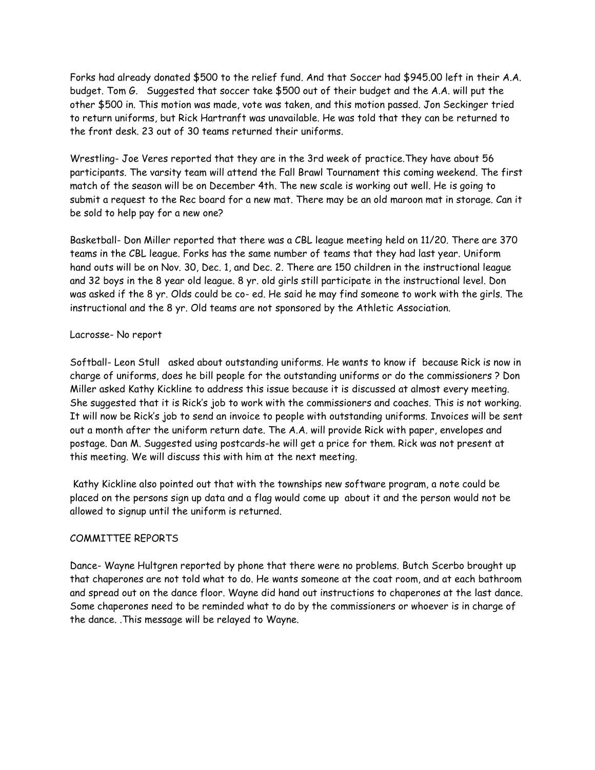Forks had already donated \$500 to the relief fund. And that Soccer had \$945.00 left in their A.A. budget. Tom G. Suggested that soccer take \$500 out of their budget and the A.A. will put the other \$500 in. This motion was made, vote was taken, and this motion passed. Jon Seckinger tried to return uniforms, but Rick Hartranft was unavailable. He was told that they can be returned to the front desk. 23 out of 30 teams returned their uniforms.

Wrestling- Joe Veres reported that they are in the 3rd week of practice.They have about 56 participants. The varsity team will attend the Fall Brawl Tournament this coming weekend. The first match of the season will be on December 4th. The new scale is working out well. He is going to submit a request to the Rec board for a new mat. There may be an old maroon mat in storage. Can it be sold to help pay for a new one?

Basketball- Don Miller reported that there was a CBL league meeting held on 11/20. There are 370 teams in the CBL league. Forks has the same number of teams that they had last year. Uniform hand outs will be on Nov. 30, Dec. 1, and Dec. 2. There are 150 children in the instructional league and 32 boys in the 8 year old league. 8 yr. old girls still participate in the instructional level. Don was asked if the 8 yr. Olds could be co- ed. He said he may find someone to work with the girls. The instructional and the 8 yr. Old teams are not sponsored by the Athletic Association.

# Lacrosse- No report

Softball- Leon Stull asked about outstanding uniforms. He wants to know if because Rick is now in charge of uniforms, does he bill people for the outstanding uniforms or do the commissioners ? Don Miller asked Kathy Kickline to address this issue because it is discussed at almost every meeting. She suggested that it is Rick's job to work with the commissioners and coaches. This is not working. It will now be Rick's job to send an invoice to people with outstanding uniforms. Invoices will be sent out a month after the uniform return date. The A.A. will provide Rick with paper, envelopes and postage. Dan M. Suggested using postcards-he will get a price for them. Rick was not present at this meeting. We will discuss this with him at the next meeting.

Kathy Kickline also pointed out that with the townships new software program, a note could be placed on the persons sign up data and a flag would come up about it and the person would not be allowed to signup until the uniform is returned.

### COMMITTEE REPORTS

Dance- Wayne Hultgren reported by phone that there were no problems. Butch Scerbo brought up that chaperones are not told what to do. He wants someone at the coat room, and at each bathroom and spread out on the dance floor. Wayne did hand out instructions to chaperones at the last dance. Some chaperones need to be reminded what to do by the commissioners or whoever is in charge of the dance. .This message will be relayed to Wayne.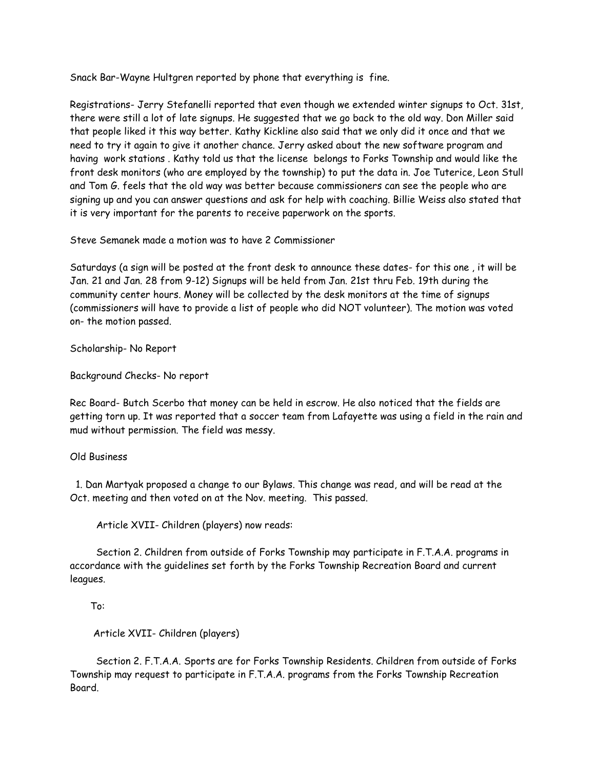Snack Bar-Wayne Hultgren reported by phone that everything is fine.

Registrations- Jerry Stefanelli reported that even though we extended winter signups to Oct. 31st, there were still a lot of late signups. He suggested that we go back to the old way. Don Miller said that people liked it this way better. Kathy Kickline also said that we only did it once and that we need to try it again to give it another chance. Jerry asked about the new software program and having work stations . Kathy told us that the license belongs to Forks Township and would like the front desk monitors (who are employed by the township) to put the data in. Joe Tuterice, Leon Stull and Tom G. feels that the old way was better because commissioners can see the people who are signing up and you can answer questions and ask for help with coaching. Billie Weiss also stated that it is very important for the parents to receive paperwork on the sports.

Steve Semanek made a motion was to have 2 Commissioner

Saturdays (a sign will be posted at the front desk to announce these dates- for this one , it will be Jan. 21 and Jan. 28 from 9-12) Signups will be held from Jan. 21st thru Feb. 19th during the community center hours. Money will be collected by the desk monitors at the time of signups (commissioners will have to provide a list of people who did NOT volunteer). The motion was voted on- the motion passed.

Scholarship- No Report

Background Checks- No report

Rec Board- Butch Scerbo that money can be held in escrow. He also noticed that the fields are getting torn up. It was reported that a soccer team from Lafayette was using a field in the rain and mud without permission. The field was messy.

# Old Business

 1. Dan Martyak proposed a change to our Bylaws. This change was read, and will be read at the Oct. meeting and then voted on at the Nov. meeting. This passed.

Article XVII- Children (players) now reads:

 Section 2. Children from outside of Forks Township may participate in F.T.A.A. programs in accordance with the guidelines set forth by the Forks Township Recreation Board and current leagues.

To:

Article XVII- Children (players)

 Section 2. F.T.A.A. Sports are for Forks Township Residents. Children from outside of Forks Township may request to participate in F.T.A.A. programs from the Forks Township Recreation Board.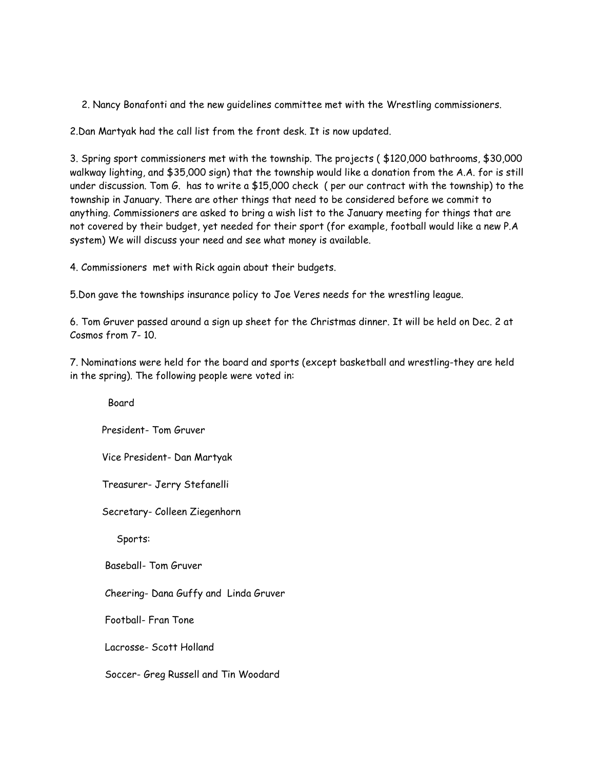2. Nancy Bonafonti and the new guidelines committee met with the Wrestling commissioners.

2.Dan Martyak had the call list from the front desk. It is now updated.

3. Spring sport commissioners met with the township. The projects ( \$120,000 bathrooms, \$30,000 walkway lighting, and \$35,000 sign) that the township would like a donation from the A.A. for is still under discussion. Tom G. has to write a \$15,000 check ( per our contract with the township) to the township in January. There are other things that need to be considered before we commit to anything. Commissioners are asked to bring a wish list to the January meeting for things that are not covered by their budget, yet needed for their sport (for example, football would like a new P.A system) We will discuss your need and see what money is available.

4. Commissioners met with Rick again about their budgets.

5.Don gave the townships insurance policy to Joe Veres needs for the wrestling league.

6. Tom Gruver passed around a sign up sheet for the Christmas dinner. It will be held on Dec. 2 at Cosmos from 7- 10.

7. Nominations were held for the board and sports (except basketball and wrestling-they are held in the spring). The following people were voted in:

 Board President- Tom Gruver Vice President- Dan Martyak Treasurer- Jerry Stefanelli Secretary- Colleen Ziegenhorn Sports: Baseball- Tom Gruver Cheering- Dana Guffy and Linda Gruver Football- Fran Tone Lacrosse- Scott Holland Soccer- Greg Russell and Tin Woodard